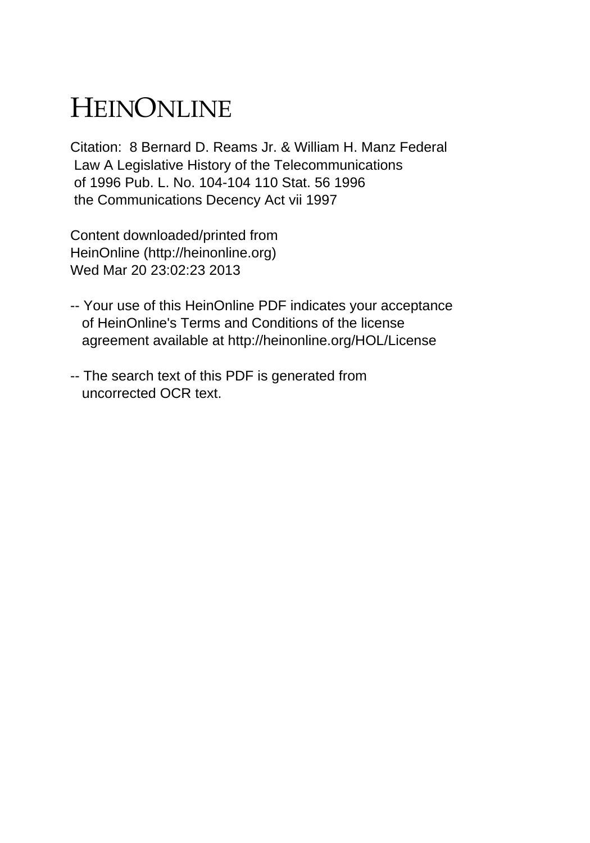# HEINONLINE

Citation: 8 Bernard D. Reams Jr. & William H. Manz Federal Law A Legislative History of the Telecommunications of 1996 Pub. L. No. 104-104 110 Stat. 56 1996 the Communications Decency Act vii 1997

Content downloaded/printed from HeinOnline (http://heinonline.org) Wed Mar 20 23:02:23 2013

- -- Your use of this HeinOnline PDF indicates your acceptance of HeinOnline's Terms and Conditions of the license agreement available at http://heinonline.org/HOL/License
- -- The search text of this PDF is generated from uncorrected OCR text.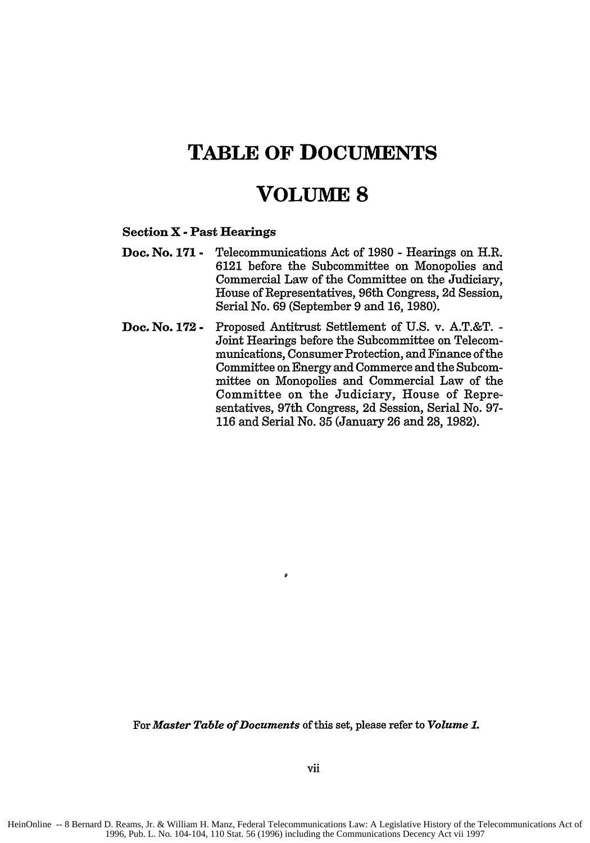### **TABLE OF DOCUMENTS**

#### **VOLUME 8**

#### **Section X - Past Hearings**

- **Doc. No. 171 -** Telecommunications Act of 1980 - Hearings on H.R. **6121** before the Subcommittee on Monopolies and Commercial Law of the Committee on the Judiciary, House of Representatives, 96th Congress, 2d Session, Serial No. 69 (September 9 and 16, 1980).
- **Doc. No. 172 -** Proposed Antitrust Settlement of U.S. v. A.T.&T. - Joint Hearings before the Subcommittee on Telecommunications, Consumer Protection, and Finance of the Committee on Energy and Commerce and the Subcommittee on Monopolies and Commercial Law of the Committee on the Judiciary, House of Representatives, 97th Congress, 2d Session, Serial No. 97- **116** and Serial No. 35 (January 26 and 28, 1982).

For *Master Table of Documents* of this set, please refer to *Volume 1.*

٥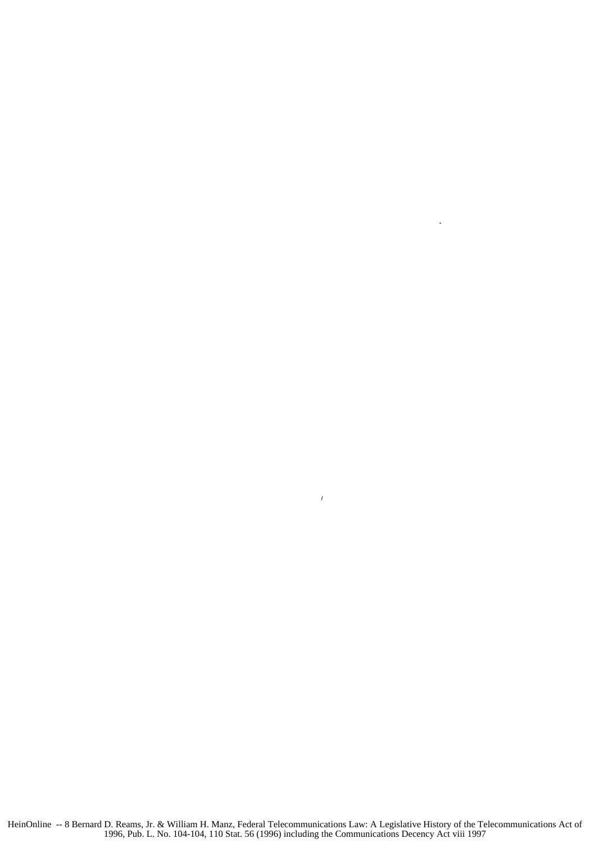HeinOnline -- 8 Bernard D. Reams, Jr. & William H. Manz, Federal Telecommunications Law: A Legislative History of the Telecommunications Act of 1996, Pub. L. No. 104-104, 110 Stat. 56 (1996) including the Communications Decency Act viii 1997

 $\bar{J}$ 

 $\ddot{\phantom{a}}$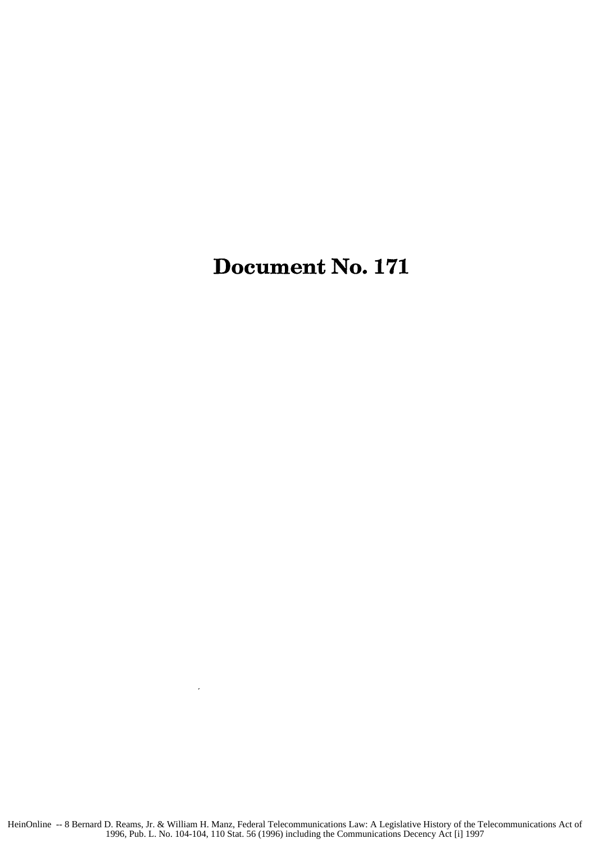## Document No. **171**

 $\sim$   $\lambda$